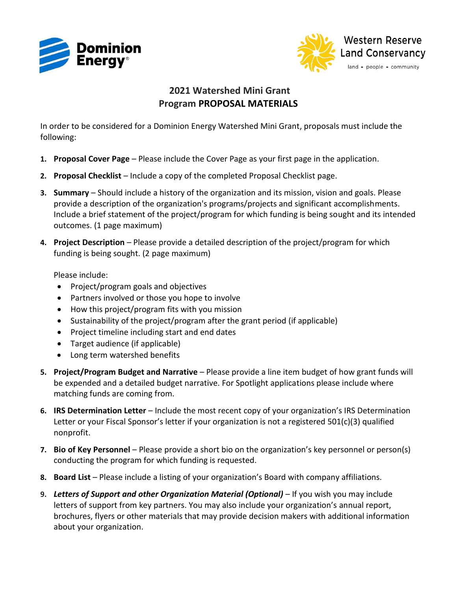



## **2021 Watershed Mini Grant Program PROPOSAL MATERIALS**

In order to be considered for a Dominion Energy Watershed Mini Grant, proposals must include the following:

- **1. Proposal Cover Page** Please include the Cover Page as your first page in the application.
- **2. Proposal Checklist** Include a copy of the completed Proposal Checklist page.
- **3. Summary** Should include a history of the organization and its mission, vision and goals. Please provide a description of the organization's programs/projects and significant accomplishments. Include a brief statement of the project/program for which funding is being sought and its intended outcomes. (1 page maximum)
- **4. Project Description** Please provide a detailed description of the project/program for which funding is being sought. (2 page maximum)

Please include:

- Project/program goals and objectives
- Partners involved or those you hope to involve
- How this project/program fits with you mission
- Sustainability of the project/program after the grant period (if applicable)
- Project timeline including start and end dates
- Target audience (if applicable)
- Long term watershed benefits
- **5. Project/Program Budget and Narrative** Please provide a line item budget of how grant funds will be expended and a detailed budget narrative. For Spotlight applications please include where matching funds are coming from.
- **6. IRS Determination Letter** Include the most recent copy of your organization's IRS Determination Letter or your Fiscal Sponsor's letter if your organization is not a registered  $501(c)(3)$  qualified nonprofit.
- **7. Bio of Key Personnel** Please provide a short bio on the organization's key personnel or person(s) conducting the program for which funding is requested.
- **8. Board List** Please include a listing of your organization's Board with company affiliations.
- **9.** *Letters of Support and other Organization Material (Optional)* If you wish you may include letters of support from key partners. You may also include your organization's annual report, brochures, flyers or other materials that may provide decision makers with additional information about your organization.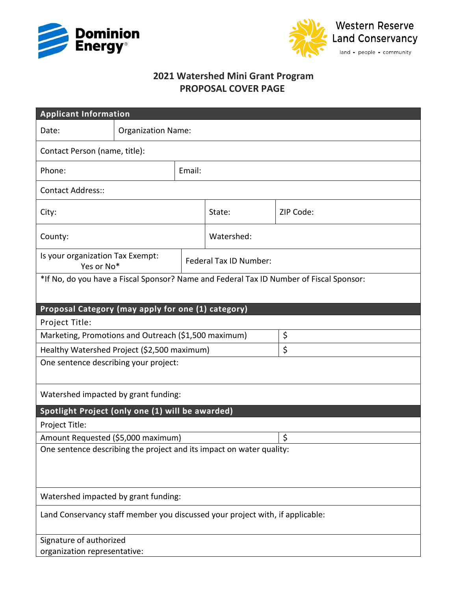



## **2021 Watershed Mini Grant Program PROPOSAL COVER PAGE**

| <b>Applicant Information</b>                                                            |                           |        |                        |           |  |
|-----------------------------------------------------------------------------------------|---------------------------|--------|------------------------|-----------|--|
| Date:                                                                                   | <b>Organization Name:</b> |        |                        |           |  |
| Contact Person (name, title):                                                           |                           |        |                        |           |  |
| Phone:                                                                                  |                           | Email: |                        |           |  |
| <b>Contact Address::</b>                                                                |                           |        |                        |           |  |
| City:                                                                                   |                           |        | State:                 | ZIP Code: |  |
| County:                                                                                 |                           |        | Watershed:             |           |  |
| Is your organization Tax Exempt:<br>Yes or No*                                          |                           |        | Federal Tax ID Number: |           |  |
| *If No, do you have a Fiscal Sponsor? Name and Federal Tax ID Number of Fiscal Sponsor: |                           |        |                        |           |  |
|                                                                                         |                           |        |                        |           |  |
| Proposal Category (may apply for one (1) category)<br>Project Title:                    |                           |        |                        |           |  |
| Marketing, Promotions and Outreach (\$1,500 maximum)                                    |                           |        |                        | \$        |  |
| Healthy Watershed Project (\$2,500 maximum)                                             |                           |        |                        | \$        |  |
| One sentence describing your project:                                                   |                           |        |                        |           |  |
|                                                                                         |                           |        |                        |           |  |
| Watershed impacted by grant funding:                                                    |                           |        |                        |           |  |
| Spotlight Project (only one (1) will be awarded)                                        |                           |        |                        |           |  |
| Project Title:                                                                          |                           |        |                        |           |  |
| Amount Requested (\$5,000 maximum)                                                      |                           |        |                        | $\zeta$   |  |
| One sentence describing the project and its impact on water quality:                    |                           |        |                        |           |  |
|                                                                                         |                           |        |                        |           |  |
|                                                                                         |                           |        |                        |           |  |
| Watershed impacted by grant funding:                                                    |                           |        |                        |           |  |
| Land Conservancy staff member you discussed your project with, if applicable:           |                           |        |                        |           |  |
| Signature of authorized<br>organization representative:                                 |                           |        |                        |           |  |